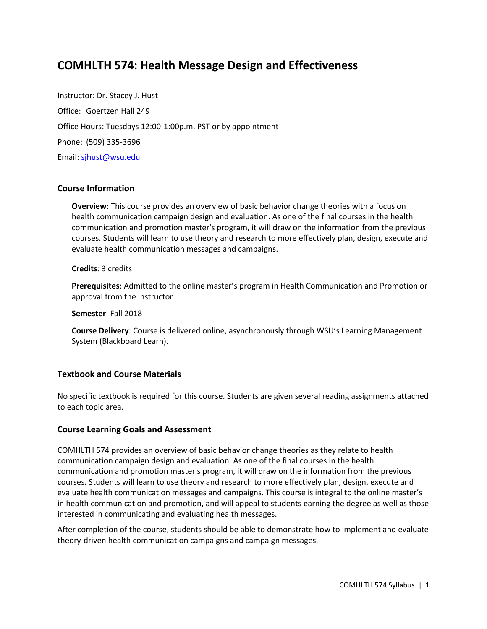# **COMHLTH 574: Health Message Design and Effectiveness**

Instructor: Dr. Stacey J. Hust Office: Goertzen Hall 249 Office Hours: Tuesdays 12:00-1:00p.m. PST or by appointment Phone: (509) 335-3696 Email: sjhust@wsu.edu

## **Course Information**

**Overview**: This course provides an overview of basic behavior change theories with a focus on health communication campaign design and evaluation. As one of the final courses in the health communication and promotion master's program, it will draw on the information from the previous courses. Students will learn to use theory and research to more effectively plan, design, execute and evaluate health communication messages and campaigns.

#### **Credits**: 3 credits

**Prerequisites**: Admitted to the online master's program in Health Communication and Promotion or approval from the instructor

**Semester**: Fall 2018

**Course Delivery**: Course is delivered online, asynchronously through WSU's Learning Management System (Blackboard Learn).

## **Textbook and Course Materials**

No specific textbook is required for this course. Students are given several reading assignments attached to each topic area.

## **Course Learning Goals and Assessment**

COMHLTH 574 provides an overview of basic behavior change theories as they relate to health communication campaign design and evaluation. As one of the final courses in the health communication and promotion master's program, it will draw on the information from the previous courses. Students will learn to use theory and research to more effectively plan, design, execute and evaluate health communication messages and campaigns. This course is integral to the online master's in health communication and promotion, and will appeal to students earning the degree as well as those interested in communicating and evaluating health messages.

After completion of the course, students should be able to demonstrate how to implement and evaluate theory-driven health communication campaigns and campaign messages.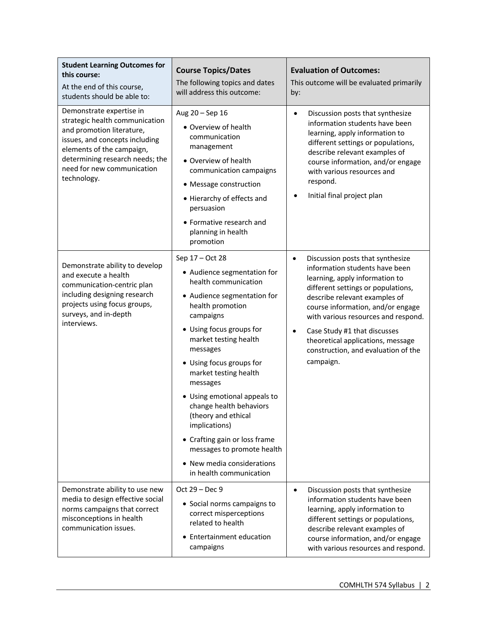| <b>Student Learning Outcomes for</b><br>this course:<br>At the end of this course,<br>students should be able to:                                                                                                                      | <b>Course Topics/Dates</b><br>The following topics and dates<br>will address this outcome:                                                                                                                                                                                                                                                                                                                                                                                                          | <b>Evaluation of Outcomes:</b><br>This outcome will be evaluated primarily<br>by:                                                                                                                                                                                                                                                                                                     |
|----------------------------------------------------------------------------------------------------------------------------------------------------------------------------------------------------------------------------------------|-----------------------------------------------------------------------------------------------------------------------------------------------------------------------------------------------------------------------------------------------------------------------------------------------------------------------------------------------------------------------------------------------------------------------------------------------------------------------------------------------------|---------------------------------------------------------------------------------------------------------------------------------------------------------------------------------------------------------------------------------------------------------------------------------------------------------------------------------------------------------------------------------------|
| Demonstrate expertise in<br>strategic health communication<br>and promotion literature,<br>issues, and concepts including<br>elements of the campaign,<br>determining research needs; the<br>need for new communication<br>technology. | Aug 20 - Sep 16<br>• Overview of health<br>communication<br>management<br>• Overview of health<br>communication campaigns<br>• Message construction<br>• Hierarchy of effects and<br>persuasion<br>• Formative research and<br>planning in health<br>promotion                                                                                                                                                                                                                                      | Discussion posts that synthesize<br>$\bullet$<br>information students have been<br>learning, apply information to<br>different settings or populations,<br>describe relevant examples of<br>course information, and/or engage<br>with various resources and<br>respond.<br>Initial final project plan                                                                                 |
| Demonstrate ability to develop<br>and execute a health<br>communication-centric plan<br>including designing research<br>projects using focus groups,<br>surveys, and in-depth<br>interviews.                                           | Sep 17 - Oct 28<br>• Audience segmentation for<br>health communication<br>• Audience segmentation for<br>health promotion<br>campaigns<br>• Using focus groups for<br>market testing health<br>messages<br>• Using focus groups for<br>market testing health<br>messages<br>· Using emotional appeals to<br>change health behaviors<br>(theory and ethical<br>implications)<br>• Crafting gain or loss frame<br>messages to promote health<br>• New media considerations<br>in health communication | Discussion posts that synthesize<br>٠<br>information students have been<br>learning, apply information to<br>different settings or populations,<br>describe relevant examples of<br>course information, and/or engage<br>with various resources and respond.<br>Case Study #1 that discusses<br>theoretical applications, message<br>construction, and evaluation of the<br>campaign. |
| Demonstrate ability to use new<br>media to design effective social<br>norms campaigns that correct<br>misconceptions in health<br>communication issues.                                                                                | Oct 29 - Dec 9<br>• Social norms campaigns to<br>correct misperceptions<br>related to health<br>Entertainment education<br>campaigns                                                                                                                                                                                                                                                                                                                                                                | Discussion posts that synthesize<br>$\bullet$<br>information students have been<br>learning, apply information to<br>different settings or populations,<br>describe relevant examples of<br>course information, and/or engage<br>with various resources and respond.                                                                                                                  |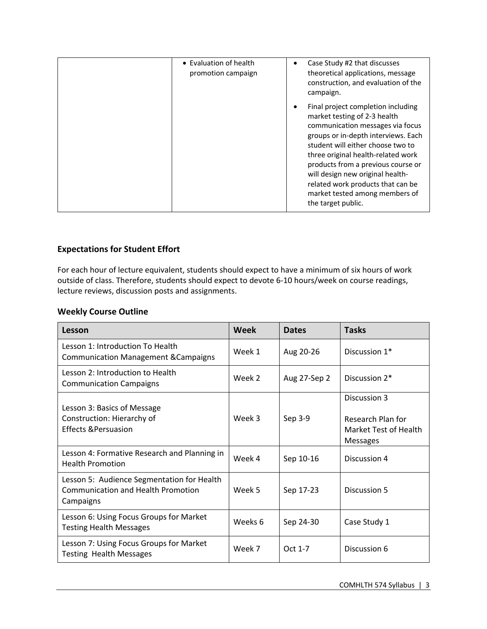| • Evaluation of health<br>promotion campaign | Case Study #2 that discusses<br>theoretical applications, message<br>construction, and evaluation of the<br>campaign.                                                                                                                                                                                                                                                                           |
|----------------------------------------------|-------------------------------------------------------------------------------------------------------------------------------------------------------------------------------------------------------------------------------------------------------------------------------------------------------------------------------------------------------------------------------------------------|
|                                              | Final project completion including<br>market testing of 2-3 health<br>communication messages via focus<br>groups or in-depth interviews. Each<br>student will either choose two to<br>three original health-related work<br>products from a previous course or<br>will design new original health-<br>related work products that can be<br>market tested among members of<br>the target public. |

## **Expectations for Student Effort**

For each hour of lecture equivalent, students should expect to have a minimum of six hours of work outside of class. Therefore, students should expect to devote 6-10 hours/week on course readings, lecture reviews, discussion posts and assignments.

## **Weekly Course Outline**

| Lesson                                                                                               | <b>Week</b> | <b>Dates</b> | <b>Tasks</b>                                                                  |
|------------------------------------------------------------------------------------------------------|-------------|--------------|-------------------------------------------------------------------------------|
| Lesson 1: Introduction To Health<br><b>Communication Management &amp; Campaigns</b>                  | Week 1      | Aug 20-26    | Discussion 1 <sup>*</sup>                                                     |
| Lesson 2: Introduction to Health<br><b>Communication Campaigns</b>                                   | Week 2      | Aug 27-Sep 2 | Discussion 2 <sup>*</sup>                                                     |
| Lesson 3: Basics of Message<br>Construction: Hierarchy of<br><b>Effects &amp; Persuasion</b>         | Week 3      | Sep 3-9      | Discussion 3<br>Research Plan for<br>Market Test of Health<br><b>Messages</b> |
| Lesson 4: Formative Research and Planning in<br><b>Health Promotion</b>                              | Week 4      | Sep 10-16    | Discussion 4                                                                  |
| Lesson 5: Audience Segmentation for Health<br><b>Communication and Health Promotion</b><br>Campaigns | Week 5      | Sep 17-23    | Discussion 5                                                                  |
| Lesson 6: Using Focus Groups for Market<br><b>Testing Health Messages</b>                            | Weeks 6     | Sep 24-30    | Case Study 1                                                                  |
| Lesson 7: Using Focus Groups for Market<br><b>Testing Health Messages</b>                            | Week 7      | Oct 1-7      | Discussion 6                                                                  |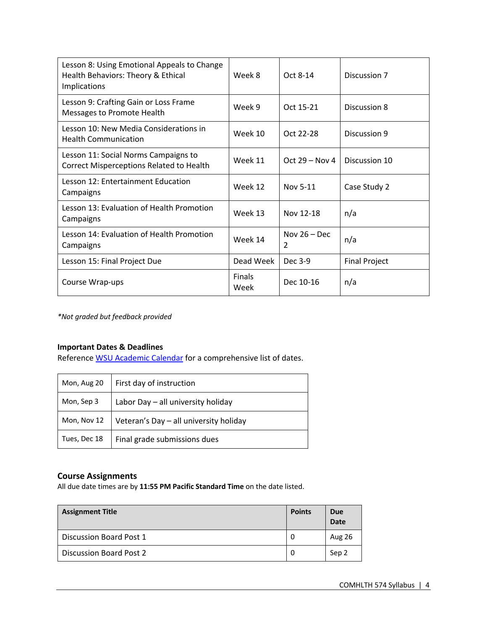| Lesson 8: Using Emotional Appeals to Change<br>Health Behaviors: Theory & Ethical<br><b>Implications</b> | Week 8                | Oct 8-14                        | Discussion 7         |
|----------------------------------------------------------------------------------------------------------|-----------------------|---------------------------------|----------------------|
| Lesson 9: Crafting Gain or Loss Frame<br>Messages to Promote Health                                      | Week 9                | Oct 15-21                       | Discussion 8         |
| Lesson 10: New Media Considerations in<br><b>Health Communication</b>                                    | Week 10               | Oct 22-28                       | Discussion 9         |
| Lesson 11: Social Norms Campaigns to<br>Correct Misperceptions Related to Health                         | Week 11               | Oct $29 - Nov 4$                | Discussion 10        |
| Lesson 12: Entertainment Education<br>Campaigns                                                          | Week 12               | Nov 5-11                        | Case Study 2         |
| Lesson 13: Evaluation of Health Promotion<br>Campaigns                                                   | Week 13               | Nov 12-18                       | n/a                  |
| Lesson 14: Evaluation of Health Promotion<br>Campaigns                                                   | Week 14               | Nov $26 - Dec$<br>$\mathcal{P}$ | n/a                  |
| Lesson 15: Final Project Due                                                                             | Dead Week             | Dec 3-9                         | <b>Final Project</b> |
| Course Wrap-ups                                                                                          | <b>Finals</b><br>Week | Dec 10-16                       | n/a                  |

*\*Not graded but feedback provided*

## **Important Dates & Deadlines**

Reference WSU Academic Calendar for a comprehensive list of dates.

| Mon, Aug 20  | First day of instruction               |
|--------------|----------------------------------------|
| Mon, Sep 3   | Labor Day - all university holiday     |
| Mon, Nov 12  | Veteran's Day - all university holiday |
| Tues, Dec 18 | Final grade submissions dues           |

## **Course Assignments**

All due date times are by **11:55 PM Pacific Standard Time** on the date listed.

| <b>Assignment Title</b> | <b>Points</b> | Due<br><b>Date</b> |
|-------------------------|---------------|--------------------|
| Discussion Board Post 1 | -0            | Aug 26             |
| Discussion Board Post 2 | 0             | Sep 2              |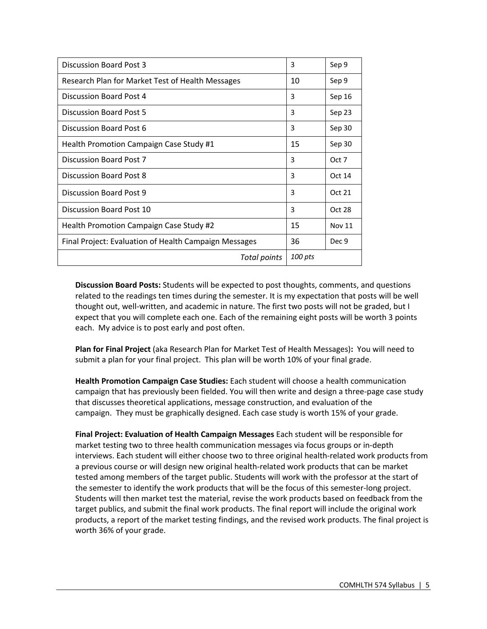| <b>Discussion Board Post 3</b>                        | 3       | Sep 9         |
|-------------------------------------------------------|---------|---------------|
| Research Plan for Market Test of Health Messages      | 10      | Sep 9         |
| Discussion Board Post 4                               | 3       | Sep 16        |
| Discussion Board Post 5                               | 3       | Sep 23        |
| Discussion Board Post 6                               | 3       | Sep 30        |
| Health Promotion Campaign Case Study #1               | 15      | Sep 30        |
| Discussion Board Post 7                               | 3       | Oct 7         |
| Discussion Board Post 8                               | 3       | Oct 14        |
| Discussion Board Post 9                               | 3       | Oct 21        |
| Discussion Board Post 10                              | 3       | Oct 28        |
| Health Promotion Campaign Case Study #2               |         | <b>Nov 11</b> |
| Final Project: Evaluation of Health Campaign Messages |         | Dec 9         |
| Total points                                          | 100 pts |               |

**Discussion Board Posts:** Students will be expected to post thoughts, comments, and questions related to the readings ten times during the semester. It is my expectation that posts will be well thought out, well-written, and academic in nature. The first two posts will not be graded, but I expect that you will complete each one. Each of the remaining eight posts will be worth 3 points each. My advice is to post early and post often.

**Plan for Final Project** (aka Research Plan for Market Test of Health Messages)**:** You will need to submit a plan for your final project. This plan will be worth 10% of your final grade.

**Health Promotion Campaign Case Studies:** Each student will choose a health communication campaign that has previously been fielded. You will then write and design a three-page case study that discusses theoretical applications, message construction, and evaluation of the campaign. They must be graphically designed. Each case study is worth 15% of your grade.

**Final Project: Evaluation of Health Campaign Messages** Each student will be responsible for market testing two to three health communication messages via focus groups or in-depth interviews. Each student will either choose two to three original health-related work products from a previous course or will design new original health-related work products that can be market tested among members of the target public. Students will work with the professor at the start of the semester to identify the work products that will be the focus of this semester-long project. Students will then market test the material, revise the work products based on feedback from the target publics, and submit the final work products. The final report will include the original work products, a report of the market testing findings, and the revised work products. The final project is worth 36% of your grade.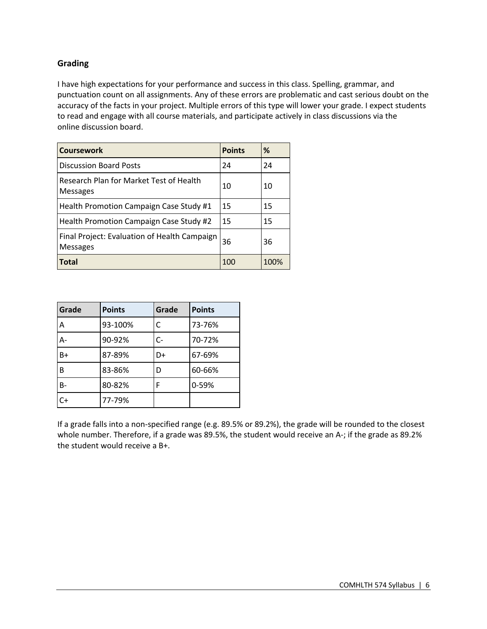## **Grading**

I have high expectations for your performance and success in this class. Spelling, grammar, and punctuation count on all assignments. Any of these errors are problematic and cast serious doubt on the accuracy of the facts in your project. Multiple errors of this type will lower your grade. I expect students to read and engage with all course materials, and participate actively in class discussions via the online discussion board.

| <b>Coursework</b>                                               | <b>Points</b> | %    |
|-----------------------------------------------------------------|---------------|------|
| <b>Discussion Board Posts</b>                                   | 24            | 24   |
| Research Plan for Market Test of Health<br><b>Messages</b>      | 10            | 10   |
| Health Promotion Campaign Case Study #1                         | 15            | 15   |
| Health Promotion Campaign Case Study #2                         | 15            | 15   |
| Final Project: Evaluation of Health Campaign<br><b>Messages</b> | 36            | 36   |
| Total                                                           | 100           | 100% |

| Grade     | <b>Points</b> | Grade | <b>Points</b> |
|-----------|---------------|-------|---------------|
| Α         | 93-100%       | C     | 73-76%        |
| $A -$     | 90-92%        | C-    | 70-72%        |
| B+        | 87-89%        | D+    | 67-69%        |
| B         | 83-86%        | D     | 60-66%        |
| <b>B-</b> | 80-82%        | F     | 0-59%         |
| $C+$      | 77-79%        |       |               |

If a grade falls into a non-specified range (e.g. 89.5% or 89.2%), the grade will be rounded to the closest whole number. Therefore, if a grade was 89.5%, the student would receive an A-; if the grade as 89.2% the student would receive a B+.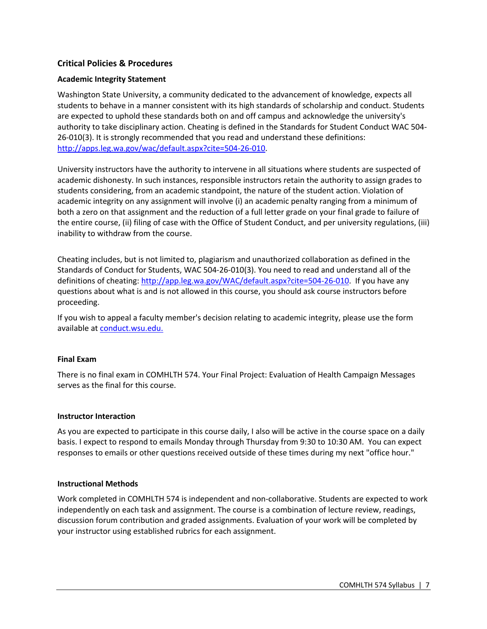## **Critical Policies & Procedures**

## **Academic Integrity Statement**

Washington State University, a community dedicated to the advancement of knowledge, expects all students to behave in a manner consistent with its high standards of scholarship and conduct. Students are expected to uphold these standards both on and off campus and acknowledge the university's authority to take disciplinary action. Cheating is defined in the Standards for Student Conduct WAC 504- 26-010(3). It is strongly recommended that you read and understand these definitions: http://apps.leg.wa.gov/wac/default.aspx?cite=504-26-010.

University instructors have the authority to intervene in all situations where students are suspected of academic dishonesty. In such instances, responsible instructors retain the authority to assign grades to students considering, from an academic standpoint, the nature of the student action. Violation of academic integrity on any assignment will involve (i) an academic penalty ranging from a minimum of both a zero on that assignment and the reduction of a full letter grade on your final grade to failure of the entire course, (ii) filing of case with the Office of Student Conduct, and per university regulations, (iii) inability to withdraw from the course.

Cheating includes, but is not limited to, plagiarism and unauthorized collaboration as defined in the Standards of Conduct for Students, WAC 504-26-010(3). You need to read and understand all of the definitions of cheating: http://app.leg.wa.gov/WAC/default.aspx?cite=504-26-010. If you have any questions about what is and is not allowed in this course, you should ask course instructors before proceeding.

If you wish to appeal a faculty member's decision relating to academic integrity, please use the form available at conduct.wsu.edu.

## **Final Exam**

There is no final exam in COMHLTH 574. Your Final Project: Evaluation of Health Campaign Messages serves as the final for this course.

#### **Instructor Interaction**

As you are expected to participate in this course daily, I also will be active in the course space on a daily basis. I expect to respond to emails Monday through Thursday from 9:30 to 10:30 AM. You can expect responses to emails or other questions received outside of these times during my next "office hour."

#### **Instructional Methods**

Work completed in COMHLTH 574 is independent and non-collaborative. Students are expected to work independently on each task and assignment. The course is a combination of lecture review, readings, discussion forum contribution and graded assignments. Evaluation of your work will be completed by your instructor using established rubrics for each assignment.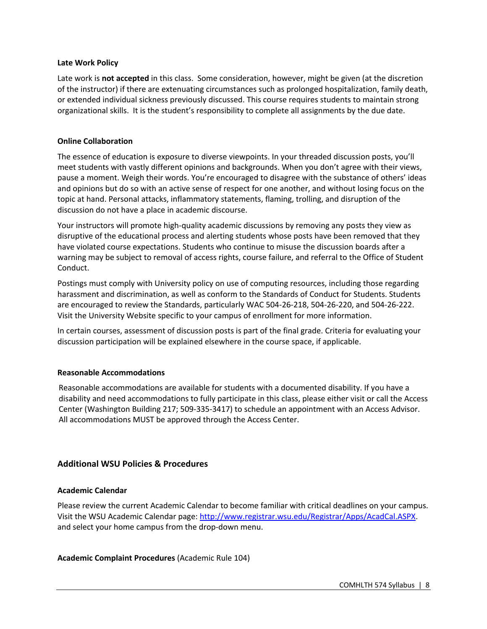#### **Late Work Policy**

Late work is **not accepted** in this class.Some consideration, however, might be given (at the discretion of the instructor) if there are extenuating circumstances such as prolonged hospitalization, family death, or extended individual sickness previously discussed. This course requires students to maintain strong organizational skills. It is the student's responsibility to complete all assignments by the due date.

#### **Online Collaboration**

The essence of education is exposure to diverse viewpoints. In your threaded discussion posts, you'll meet students with vastly different opinions and backgrounds. When you don't agree with their views, pause a moment. Weigh their words. You're encouraged to disagree with the substance of others' ideas and opinions but do so with an active sense of respect for one another, and without losing focus on the topic at hand. Personal attacks, inflammatory statements, flaming, trolling, and disruption of the discussion do not have a place in academic discourse.

Your instructors will promote high-quality academic discussions by removing any posts they view as disruptive of the educational process and alerting students whose posts have been removed that they have violated course expectations. Students who continue to misuse the discussion boards after a warning may be subject to removal of access rights, course failure, and referral to the Office of Student Conduct.

Postings must comply with University policy on use of computing resources, including those regarding harassment and discrimination, as well as conform to the Standards of Conduct for Students. Students are encouraged to review the Standards, particularly WAC 504-26-218, 504-26-220, and 504-26-222. Visit the University Website specific to your campus of enrollment for more information.

In certain courses, assessment of discussion posts is part of the final grade. Criteria for evaluating your discussion participation will be explained elsewhere in the course space, if applicable.

## **Reasonable Accommodations**

Reasonable accommodations are available for students with a documented disability. If you have a disability and need accommodations to fully participate in this class, please either visit or call the Access Center (Washington Building 217; 509-335-3417) to schedule an appointment with an Access Advisor. All accommodations MUST be approved through the Access Center.

## **Additional WSU Policies & Procedures**

#### **Academic Calendar**

Please review the current Academic Calendar to become familiar with critical deadlines on your campus. Visit the WSU Academic Calendar page: http://www.registrar.wsu.edu/Registrar/Apps/AcadCal.ASPX. and select your home campus from the drop-down menu.

## **Academic Complaint Procedures** (Academic Rule 104)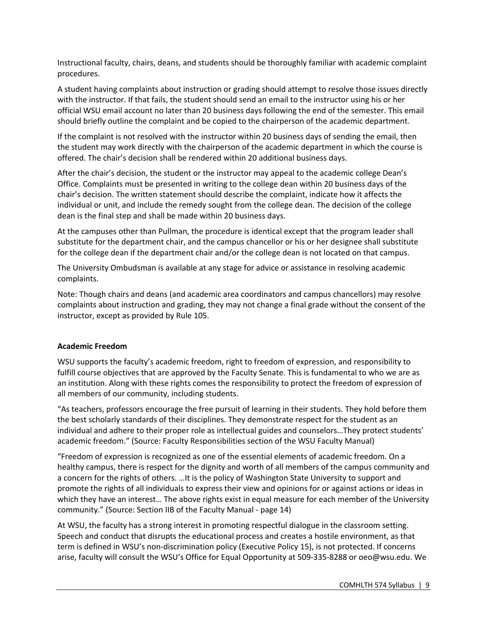Instructional faculty, chairs, deans, and students should be thoroughly familiar with academic complaint procedures.

A student having complaints about instruction or grading should attempt to resolve those issues directly with the instructor. If that fails, the student should send an email to the instructor using his or her official WSU email account no later than 20 business days following the end of the semester. This email should briefly outline the complaint and be copied to the chairperson of the academic department.

If the complaint is not resolved with the instructor within 20 business days of sending the email, then the student may work directly with the chairperson of the academic department in which the course is offered. The chair's decision shall be rendered within 20 additional business days.

After the chair's decision, the student or the instructor may appeal to the academic college Dean's Office. Complaints must be presented in writing to the college dean within 20 business days of the chair's decision. The written statement should describe the complaint, indicate how it affects the individual or unit, and include the remedy sought from the college dean. The decision of the college dean is the final step and shall be made within 20 business days.

At the campuses other than Pullman, the procedure is identical except that the program leader shall substitute for the department chair, and the campus chancellor or his or her designee shall substitute for the college dean if the department chair and/or the college dean is not located on that campus.

The University Ombudsman is available at any stage for advice or assistance in resolving academic complaints.

Note: Though chairs and deans (and academic area coordinators and campus chancellors) may resolve complaints about instruction and grading, they may not change a final grade without the consent of the instructor, except as provided by Rule 105.

## **Academic Freedom**

WSU supports the faculty's academic freedom, right to freedom of expression, and responsibility to fulfill course objectives that are approved by the Faculty Senate. This is fundamental to who we are as an institution. Along with these rights comes the responsibility to protect the freedom of expression of all members of our community, including students.

"As teachers, professors encourage the free pursuit of learning in their students. They hold before them the best scholarly standards of their disciplines. They demonstrate respect for the student as an individual and adhere to their proper role as intellectual guides and counselors…They protect students' academic freedom." (Source: Faculty Responsibilities section of the WSU Faculty Manual)

"Freedom of expression is recognized as one of the essential elements of academic freedom. On a healthy campus, there is respect for the dignity and worth of all members of the campus community and a concern for the rights of others. …It is the policy of Washington State University to support and promote the rights of all individuals to express their view and opinions for or against actions or ideas in which they have an interest… The above rights exist in equal measure for each member of the University community." (Source: Section IIB of the Faculty Manual - page 14)

At WSU, the faculty has a strong interest in promoting respectful dialogue in the classroom setting. Speech and conduct that disrupts the educational process and creates a hostile environment, as that term is defined in WSU's non-discrimination policy (Executive Policy 15), is not protected. If concerns arise, faculty will consult the WSU's Office for Equal Opportunity at 509-335-8288 or oeo@wsu.edu. We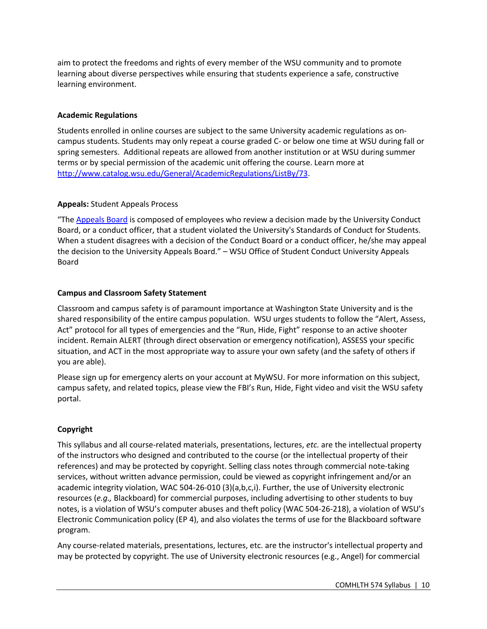aim to protect the freedoms and rights of every member of the WSU community and to promote learning about diverse perspectives while ensuring that students experience a safe, constructive learning environment.

## **Academic Regulations**

Students enrolled in online courses are subject to the same University academic regulations as oncampus students. Students may only repeat a course graded C- or below one time at WSU during fall or spring semesters. Additional repeats are allowed from another institution or at WSU during summer terms or by special permission of the academic unit offering the course. Learn more at http://www.catalog.wsu.edu/General/AcademicRegulations/ListBy/73.

## **Appeals:** Student Appeals Process

"The Appeals Board is composed of employees who review a decision made by the University Conduct Board, or a conduct officer, that a student violated the University's Standards of Conduct for Students. When a student disagrees with a decision of the Conduct Board or a conduct officer, he/she may appeal the decision to the University Appeals Board." – WSU Office of Student Conduct University Appeals Board

## **Campus and Classroom Safety Statement**

Classroom and campus safety is of paramount importance at Washington State University and is the shared responsibility of the entire campus population. WSU urges students to follow the "Alert, Assess, Act" protocol for all types of emergencies and the "Run, Hide, Fight" response to an active shooter incident. Remain ALERT (through direct observation or emergency notification), ASSESS your specific situation, and ACT in the most appropriate way to assure your own safety (and the safety of others if you are able).

Please sign up for emergency alerts on your account at MyWSU. For more information on this subject, campus safety, and related topics, please view the FBI's Run, Hide, Fight video and visit the WSU safety portal.

## **Copyright**

This syllabus and all course-related materials, presentations, lectures, *etc.* are the intellectual property of the instructors who designed and contributed to the course (or the intellectual property of their references) and may be protected by copyright. Selling class notes through commercial note-taking services, without written advance permission, could be viewed as copyright infringement and/or an academic integrity violation, WAC 504-26-010 (3)(a,b,c,i). Further, the use of University electronic resources (*e.g.,* Blackboard) for commercial purposes, including advertising to other students to buy notes, is a violation of WSU's computer abuses and theft policy (WAC 504-26-218), a violation of WSU's Electronic Communication policy (EP 4), and also violates the terms of use for the Blackboard software program.

Any course-related materials, presentations, lectures, etc. are the instructor's intellectual property and may be protected by copyright. The use of University electronic resources (e.g., Angel) for commercial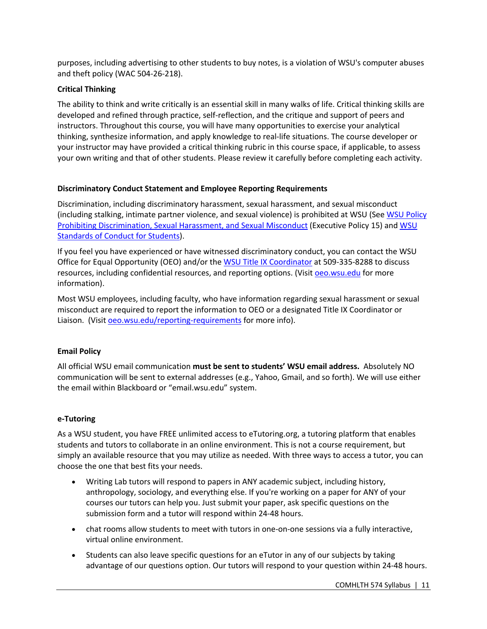purposes, including advertising to other students to buy notes, is a violation of WSU's computer abuses and theft policy (WAC 504-26-218).

## **Critical Thinking**

The ability to think and write critically is an essential skill in many walks of life. Critical thinking skills are developed and refined through practice, self-reflection, and the critique and support of peers and instructors. Throughout this course, you will have many opportunities to exercise your analytical thinking, synthesize information, and apply knowledge to real-life situations. The course developer or your instructor may have provided a critical thinking rubric in this course space, if applicable, to assess your own writing and that of other students. Please review it carefully before completing each activity.

## **Discriminatory Conduct Statement and Employee Reporting Requirements**

Discrimination, including discriminatory harassment, sexual harassment, and sexual misconduct (including stalking, intimate partner violence, and sexual violence) is prohibited at WSU (See WSU Policy Prohibiting Discrimination, Sexual Harassment, and Sexual Misconduct (Executive Policy 15) and WSU Standards of Conduct for Students).

If you feel you have experienced or have witnessed discriminatory conduct, you can contact the WSU Office for Equal Opportunity (OEO) and/or the WSU Title IX Coordinator at 509-335-8288 to discuss resources, including confidential resources, and reporting options. (Visit oeo.wsu.edu for more information).

Most WSU employees, including faculty, who have information regarding sexual harassment or sexual misconduct are required to report the information to OEO or a designated Title IX Coordinator or Liaison. (Visit oeo.wsu.edu/reporting-requirements for more info).

## **Email Policy**

All official WSU email communication **must be sent to students' WSU email address.** Absolutely NO communication will be sent to external addresses (e.g., Yahoo, Gmail, and so forth). We will use either the email within Blackboard or "email.wsu.edu" system.

## **e-Tutoring**

As a WSU student, you have FREE unlimited access to eTutoring.org, a tutoring platform that enables students and tutors to collaborate in an online environment. This is not a course requirement, but simply an available resource that you may utilize as needed. With three ways to access a tutor, you can choose the one that best fits your needs.

- Writing Lab tutors will respond to papers in ANY academic subject, including history, anthropology, sociology, and everything else. If you're working on a paper for ANY of your courses our tutors can help you. Just submit your paper, ask specific questions on the submission form and a tutor will respond within 24-48 hours.
- chat rooms allow students to meet with tutors in one-on-one sessions via a fully interactive, virtual online environment.
- Students can also leave specific questions for an eTutor in any of our subjects by taking advantage of our questions option. Our tutors will respond to your question within 24-48 hours.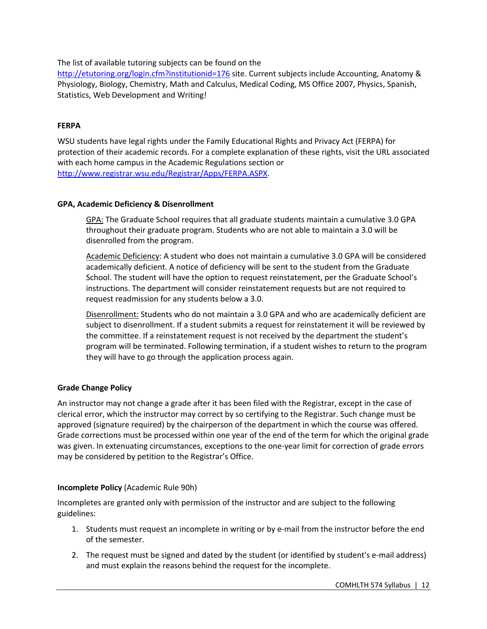The list of available tutoring subjects can be found on the

http://etutoring.org/login.cfm?institutionid=176 site. Current subjects include Accounting, Anatomy & Physiology, Biology, Chemistry, Math and Calculus, Medical Coding, MS Office 2007, Physics, Spanish, Statistics, Web Development and Writing!

## **FERPA**

WSU students have legal rights under the Family Educational Rights and Privacy Act (FERPA) for protection of their academic records. For a complete explanation of these rights, visit the URL associated with each home campus in the Academic Regulations section or http://www.registrar.wsu.edu/Registrar/Apps/FERPA.ASPX.

## **GPA, Academic Deficiency & Disenrollment**

GPA: The Graduate School requires that all graduate students maintain a cumulative 3.0 GPA throughout their graduate program. Students who are not able to maintain a 3.0 will be disenrolled from the program.

Academic Deficiency: A student who does not maintain a cumulative 3.0 GPA will be considered academically deficient. A notice of deficiency will be sent to the student from the Graduate School. The student will have the option to request reinstatement, per the Graduate School's instructions. The department will consider reinstatement requests but are not required to request readmission for any students below a 3.0.

Disenrollment: Students who do not maintain a 3.0 GPA and who are academically deficient are subject to disenrollment. If a student submits a request for reinstatement it will be reviewed by the committee. If a reinstatement request is not received by the department the student's program will be terminated. Following termination, if a student wishes to return to the program they will have to go through the application process again.

## **Grade Change Policy**

An instructor may not change a grade after it has been filed with the Registrar, except in the case of clerical error, which the instructor may correct by so certifying to the Registrar. Such change must be approved (signature required) by the chairperson of the department in which the course was offered. Grade corrections must be processed within one year of the end of the term for which the original grade was given. In extenuating circumstances, exceptions to the one-year limit for correction of grade errors may be considered by petition to the Registrar's Office.

## **Incomplete Policy** (Academic Rule 90h)

Incompletes are granted only with permission of the instructor and are subject to the following guidelines:

- 1. Students must request an incomplete in writing or by e-mail from the instructor before the end of the semester.
- 2. The request must be signed and dated by the student (or identified by student's e-mail address) and must explain the reasons behind the request for the incomplete.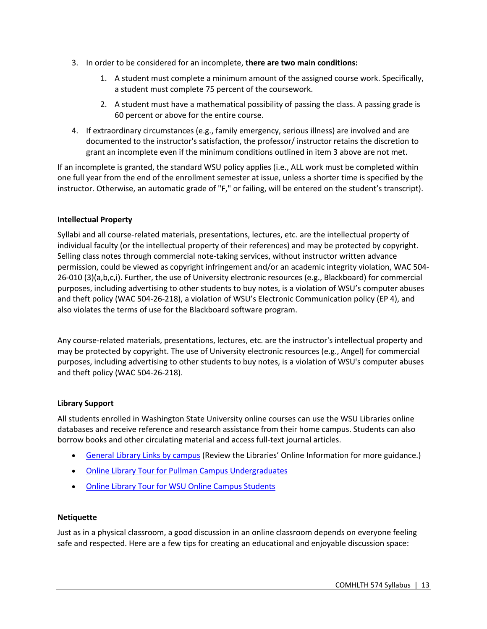- 3. In order to be considered for an incomplete, **there are two main conditions:**
	- 1. A student must complete a minimum amount of the assigned course work. Specifically, a student must complete 75 percent of the coursework.
	- 2. A student must have a mathematical possibility of passing the class. A passing grade is 60 percent or above for the entire course.
- 4. If extraordinary circumstances (e.g., family emergency, serious illness) are involved and are documented to the instructor's satisfaction, the professor/ instructor retains the discretion to grant an incomplete even if the minimum conditions outlined in item 3 above are not met.

If an incomplete is granted, the standard WSU policy applies (i.e., ALL work must be completed within one full year from the end of the enrollment semester at issue, unless a shorter time is specified by the instructor. Otherwise, an automatic grade of "F," or failing, will be entered on the student's transcript).

## **Intellectual Property**

Syllabi and all course-related materials, presentations, lectures, etc. are the intellectual property of individual faculty (or the intellectual property of their references) and may be protected by copyright. Selling class notes through commercial note-taking services, without instructor written advance permission, could be viewed as copyright infringement and/or an academic integrity violation, WAC 504- 26-010 (3)(a,b,c,i). Further, the use of University electronic resources (e.g., Blackboard) for commercial purposes, including advertising to other students to buy notes, is a violation of WSU's computer abuses and theft policy (WAC 504-26-218), a violation of WSU's Electronic Communication policy (EP 4), and also violates the terms of use for the Blackboard software program.

Any course-related materials, presentations, lectures, etc. are the instructor's intellectual property and may be protected by copyright. The use of University electronic resources (e.g., Angel) for commercial purposes, including advertising to other students to buy notes, is a violation of WSU's computer abuses and theft policy (WAC 504-26-218).

## **Library Support**

All students enrolled in Washington State University online courses can use the WSU Libraries online databases and receive reference and research assistance from their home campus. Students can also borrow books and other circulating material and access full-text journal articles.

- General Library Links by campus (Review the Libraries' Online Information for more guidance.)
- Online Library Tour for Pullman Campus Undergraduates
- Online Library Tour for WSU Online Campus Students

## **Netiquette**

Just as in a physical classroom, a good discussion in an online classroom depends on everyone feeling safe and respected. Here are a few tips for creating an educational and enjoyable discussion space: